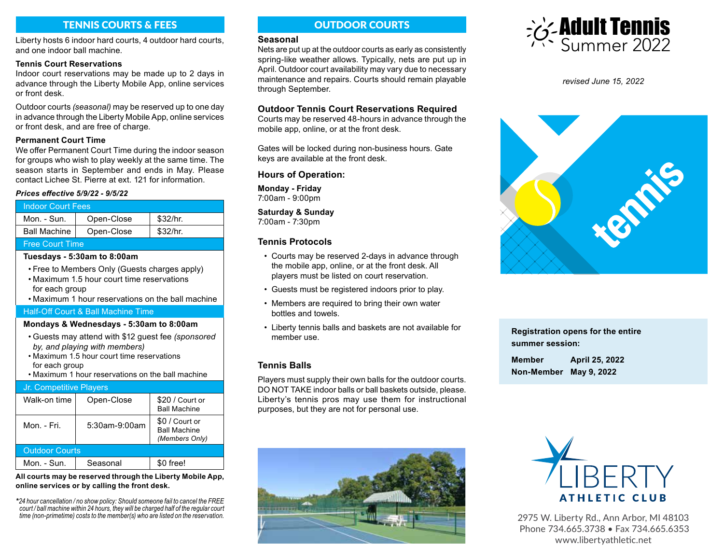# TENNIS COURTS & FEES OUTDOOR COURTS

Liberty hosts 6 indoor hard courts, 4 outdoor hard courts, and one indoor ball machine.

#### **Tennis Court Reservations**

Indoor court reservations may be made up to 2 days in advance through the Liberty Mobile App, online services or front desk.

Outdoor courts *(seasonal)* may be reserved up to one day in advance through the Liberty Mobile App, online services or front desk, and are free of charge.

#### **Permanent Court Time**

We offer Permanent Court Time during the indoor season for groups who wish to play weekly at the same time. The season starts in September and ends in May. Please contact Lichee St. Pierre at ext. 121 for information.

#### *Prices effective 5/9/22 - 9/5/22*

| <b>Indoor Court Fees</b> |            |          |  |
|--------------------------|------------|----------|--|
| Mon. - Sun.              | Open-Close | \$32/hr. |  |
| <b>Ball Machine</b>      | Open-Close | \$32/hr. |  |
| <b>Free Court Time</b>   |            |          |  |
|                          |            |          |  |

#### **Tuesdays - 5:30am to 8:00am**

- Free to Members Only (Guests charges apply) • Maximum 1.5 hour court time reservations
- for each group
- Maximum 1 hour reservations on the ball machine

## Half-Off Court & Ball Machine Time

## **Mondays & Wednesdays - 5:30am to 8:00am**

- Guests may attend with \$12 guest fee *(sponsored by, and playing with members)*
- Maximum 1.5 hour court time reservations for each group
- Maximum 1 hour reservations on the ball machine

# Jr. Competitive Players

| Walk-on time          | Open-Close    | \$20 / Court or<br><b>Ball Machine</b>                  |
|-----------------------|---------------|---------------------------------------------------------|
| Mon. - Fri.           | 5:30am-9:00am | \$0 / Court or<br><b>Ball Machine</b><br>(Members Only) |
| <b>Outdoor Courts</b> |               |                                                         |
| Mon. - Sun.           | Seasonal      | \$0 free!                                               |

**All courts may be reserved through the Liberty Mobile App, online services or by calling the front desk.**

*\*24 hour cancellation / no show policy: Should someone fail to cancel the FREE court / ball machine within 24 hours, they will be charged half of the regular court time (non-primetime) costs to the member(s) who are listed on the reservation.*

## **Seasonal**

Nets are put up at the outdoor courts as early as consistently spring-like weather allows. Typically, nets are put up in April. Outdoor court availability may vary due to necessary maintenance and repairs. Courts should remain playable through September.

#### **Outdoor Tennis Court Reservations Required**

Courts may be reserved 48-hours in advance through the mobile app, online, or at the front desk.

Gates will be locked during non-business hours. Gate keys are available at the front desk.

## **Hours of Operation:**

**Monday - Friday** 7:00am - 9:00pm

**Saturday & Sunday** 7:00am - 7:30pm

## **Tennis Protocols**

- Courts may be reserved 2-days in advance through the mobile app, online, or at the front desk. All players must be listed on court reservation.
- Guests must be registered indoors prior to play.
- Members are required to bring their own water bottles and towels.
- Liberty tennis balls and baskets are not available for member use.

## **Tennis Balls**

Players must supply their own balls for the outdoor courts. DO NOT TAKE indoor balls or ball baskets outside, please. Liberty's tennis pros may use them for instructional purposes, but they are not for personal use.



*revised June 15, 2022*



**Registration opens for the entire summer session:**

**Member April 25, 2022 Non-Member May 9, 2022**





2975 W. Liberty Rd., Ann Arbor, MI 48103 Phone 734.665.3738 • Fax 734.665.6353 www.libertyathletic.net